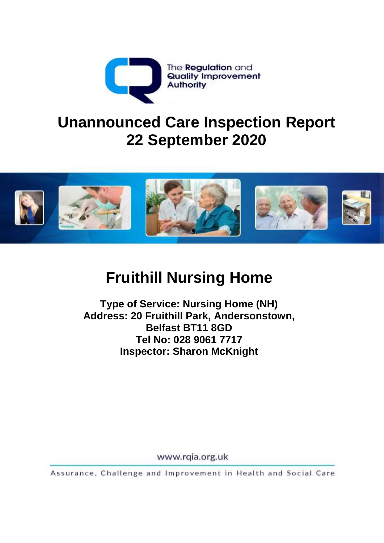

# **Unannounced Care Inspection Report 22 September 2020**



# **Fruithill Nursing Home**

**Type of Service: Nursing Home (NH) Address: 20 Fruithill Park, Andersonstown, Belfast BT11 8GD Tel No: 028 9061 7717 Inspector: Sharon McKnight**

www.rgia.org.uk

Assurance, Challenge and Improvement in Health and Social Care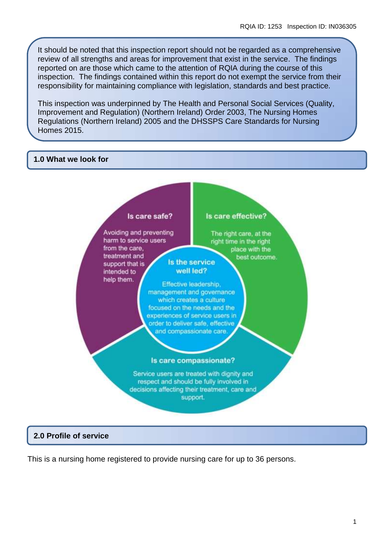It should be noted that this inspection report should not be regarded as a comprehensive review of all strengths and areas for improvement that exist in the service. The findings reported on are those which came to the attention of RQIA during the course of this inspection. The findings contained within this report do not exempt the service from their responsibility for maintaining compliance with legislation, standards and best practice.

This inspection was underpinned by The Health and Personal Social Services (Quality, Improvement and Regulation) (Northern Ireland) Order 2003, The Nursing Homes Regulations (Northern Ireland) 2005 and the DHSSPS Care Standards for Nursing Homes 2015.

#### **1.0 What we look for**



#### **2.0 Profile of service**

This is a nursing home registered to provide nursing care for up to 36 persons.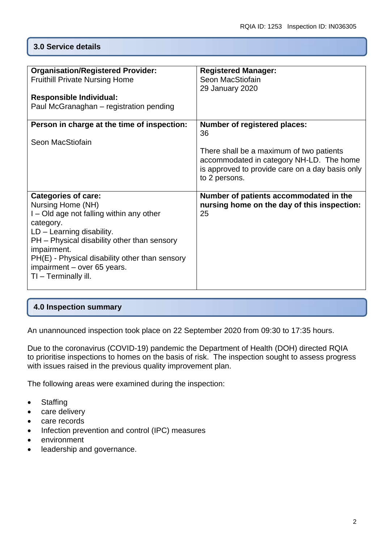# **3.0 Service details**

| <b>Organisation/Registered Provider:</b><br><b>Fruithill Private Nursing Home</b><br><b>Responsible Individual:</b><br>Paul McGranaghan – registration pending                                                                                                                                                 | <b>Registered Manager:</b><br>Seon MacStiofain<br>29 January 2020                                                                                                                                     |
|----------------------------------------------------------------------------------------------------------------------------------------------------------------------------------------------------------------------------------------------------------------------------------------------------------------|-------------------------------------------------------------------------------------------------------------------------------------------------------------------------------------------------------|
| Person in charge at the time of inspection:<br>Seon MacStiofain                                                                                                                                                                                                                                                | <b>Number of registered places:</b><br>36<br>There shall be a maximum of two patients<br>accommodated in category NH-LD. The home<br>is approved to provide care on a day basis only<br>to 2 persons. |
| <b>Categories of care:</b><br>Nursing Home (NH)<br>I – Old age not falling within any other<br>category.<br>$LD - Learning$ disability.<br>PH - Physical disability other than sensory<br>impairment.<br>PH(E) - Physical disability other than sensory<br>impairment - over 65 years.<br>TI - Terminally ill. | Number of patients accommodated in the<br>nursing home on the day of this inspection:<br>25                                                                                                           |

# **4.0 Inspection summary**

An unannounced inspection took place on 22 September 2020 from 09:30 to 17:35 hours.

Due to the coronavirus (COVID-19) pandemic the Department of Health (DOH) directed RQIA to prioritise inspections to homes on the basis of risk. The inspection sought to assess progress with issues raised in the previous quality improvement plan.

The following areas were examined during the inspection:

- Staffing
- care delivery
- care records
- Infection prevention and control (IPC) measures
- environment
- leadership and governance.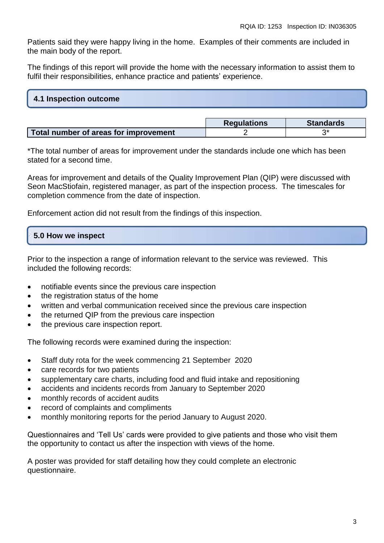Patients said they were happy living in the home. Examples of their comments are included in the main body of the report.

The findings of this report will provide the home with the necessary information to assist them to fulfil their responsibilities, enhance practice and patients' experience.

| 4.1 Inspection outcome |  |  |
|------------------------|--|--|
|                        |  |  |

|                                       | <b>Regulations</b> | <b>Standards</b> |
|---------------------------------------|--------------------|------------------|
| Total number of areas for improvement |                    |                  |

\*The total number of areas for improvement under the standards include one which has been stated for a second time.

Areas for improvement and details of the Quality Improvement Plan (QIP) were discussed with Seon MacStiofain, registered manager, as part of the inspection process. The timescales for completion commence from the date of inspection.

Enforcement action did not result from the findings of this inspection.

### **5.0 How we inspect**

Prior to the inspection a range of information relevant to the service was reviewed. This included the following records:

- notifiable events since the previous care inspection
- the registration status of the home
- written and verbal communication received since the previous care inspection
- the returned QIP from the previous care inspection
- the previous care inspection report.

The following records were examined during the inspection:

- Staff duty rota for the week commencing 21 September 2020
- care records for two patients
- supplementary care charts, including food and fluid intake and repositioning
- accidents and incidents records from January to September 2020
- monthly records of accident audits
- record of complaints and compliments
- monthly monitoring reports for the period January to August 2020.

Questionnaires and 'Tell Us' cards were provided to give patients and those who visit them the opportunity to contact us after the inspection with views of the home.

A poster was provided for staff detailing how they could complete an electronic questionnaire.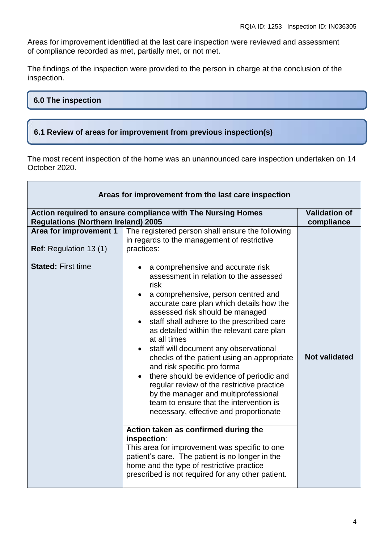Areas for improvement identified at the last care inspection were reviewed and assessment of compliance recorded as met, partially met, or not met.

The findings of the inspection were provided to the person in charge at the conclusion of the inspection.

#### **6.0 The inspection**

# **6.1 Review of areas for improvement from previous inspection(s)**

The most recent inspection of the home was an unannounced care inspection undertaken on 14 October 2020.

| Areas for improvement from the last care inspection     |                                                                                                                                                                                                                                                                                                                                                                                                                                                                                                                                                                                                                                                                                                                                                                                                                                                                                                                                              |                                    |
|---------------------------------------------------------|----------------------------------------------------------------------------------------------------------------------------------------------------------------------------------------------------------------------------------------------------------------------------------------------------------------------------------------------------------------------------------------------------------------------------------------------------------------------------------------------------------------------------------------------------------------------------------------------------------------------------------------------------------------------------------------------------------------------------------------------------------------------------------------------------------------------------------------------------------------------------------------------------------------------------------------------|------------------------------------|
| <b>Regulations (Northern Ireland) 2005</b>              | Action required to ensure compliance with The Nursing Homes                                                                                                                                                                                                                                                                                                                                                                                                                                                                                                                                                                                                                                                                                                                                                                                                                                                                                  | <b>Validation of</b><br>compliance |
| Area for improvement 1<br><b>Ref:</b> Regulation 13 (1) | The registered person shall ensure the following<br>in regards to the management of restrictive<br>practices:                                                                                                                                                                                                                                                                                                                                                                                                                                                                                                                                                                                                                                                                                                                                                                                                                                |                                    |
| <b>Stated: First time</b>                               | a comprehensive and accurate risk<br>assessment in relation to the assessed<br>risk<br>a comprehensive, person centred and<br>$\bullet$<br>accurate care plan which details how the<br>assessed risk should be managed<br>• staff shall adhere to the prescribed care<br>as detailed within the relevant care plan<br>at all times<br>staff will document any observational<br>checks of the patient using an appropriate<br>and risk specific pro forma<br>there should be evidence of periodic and<br>regular review of the restrictive practice<br>by the manager and multiprofessional<br>team to ensure that the intervention is<br>necessary, effective and proportionate<br>Action taken as confirmed during the<br>inspection:<br>This area for improvement was specific to one<br>patient's care. The patient is no longer in the<br>home and the type of restrictive practice<br>prescribed is not required for any other patient. | <b>Not validated</b>               |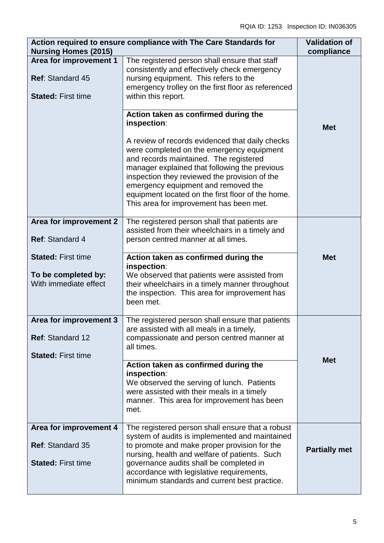| <b>Nursing Homes (2015)</b>                                                    | Action required to ensure compliance with The Care Standards for                                                                                                                                                                                                                                                                            | <b>Validation of</b><br>compliance |
|--------------------------------------------------------------------------------|---------------------------------------------------------------------------------------------------------------------------------------------------------------------------------------------------------------------------------------------------------------------------------------------------------------------------------------------|------------------------------------|
| Area for improvement 1<br><b>Ref: Standard 45</b><br><b>Stated: First time</b> | The registered person shall ensure that staff<br>consistently and effectively check emergency<br>nursing equipment. This refers to the<br>emergency trolley on the first floor as referenced<br>within this report.                                                                                                                         |                                    |
|                                                                                | Action taken as confirmed during the<br>inspection:<br>A review of records evidenced that daily checks<br>were completed on the emergency equipment<br>and records maintained. The registered<br>manager explained that following the previous<br>inspection they reviewed the provision of the<br>emergency equipment and removed the      | <b>Met</b>                         |
|                                                                                | equipment located on the first floor of the home.<br>This area for improvement has been met.                                                                                                                                                                                                                                                |                                    |
| Area for improvement 2<br>Ref: Standard 4                                      | The registered person shall that patients are<br>assisted from their wheelchairs in a timely and<br>person centred manner at all times.                                                                                                                                                                                                     |                                    |
| <b>Stated: First time</b><br>To be completed by:<br>With immediate effect      | Action taken as confirmed during the<br>inspection:<br>We observed that patients were assisted from<br>their wheelchairs in a timely manner throughout<br>the inspection. This area for improvement has<br>been met.                                                                                                                        | <b>Met</b>                         |
| Area for improvement 3<br>Ref: Standard 12<br><b>Stated: First time</b>        | The registered person shall ensure that patients<br>are assisted with all meals in a timely,<br>compassionate and person centred manner at<br>all times.                                                                                                                                                                                    |                                    |
|                                                                                | Action taken as confirmed during the<br>inspection:<br>We observed the serving of lunch. Patients<br>were assisted with their meals in a timely<br>manner. This area for improvement has been<br>met.                                                                                                                                       | <b>Met</b>                         |
| Area for improvement 4<br><b>Ref: Standard 35</b><br><b>Stated: First time</b> | The registered person shall ensure that a robust<br>system of audits is implemented and maintained<br>to promote and make proper provision for the<br>nursing, health and welfare of patients. Such<br>governance audits shall be completed in<br>accordance with legislative requirements,<br>minimum standards and current best practice. | <b>Partially met</b>               |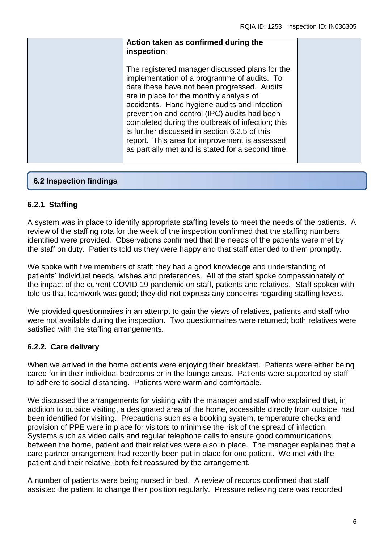| Action taken as confirmed during the<br>inspection:                                                                                                                                                                                                                                                                                                                                                                                                                                                 |  |
|-----------------------------------------------------------------------------------------------------------------------------------------------------------------------------------------------------------------------------------------------------------------------------------------------------------------------------------------------------------------------------------------------------------------------------------------------------------------------------------------------------|--|
| The registered manager discussed plans for the<br>implementation of a programme of audits. To<br>date these have not been progressed. Audits<br>are in place for the monthly analysis of<br>accidents. Hand hygiene audits and infection<br>prevention and control (IPC) audits had been<br>completed during the outbreak of infection; this<br>is further discussed in section 6.2.5 of this<br>report. This area for improvement is assessed<br>as partially met and is stated for a second time. |  |

# **6.2 Inspection findings**

### **6.2.1 Staffing**

A system was in place to identify appropriate staffing levels to meet the needs of the patients. A review of the staffing rota for the week of the inspection confirmed that the staffing numbers identified were provided. Observations confirmed that the needs of the patients were met by the staff on duty. Patients told us they were happy and that staff attended to them promptly.

We spoke with five members of staff; they had a good knowledge and understanding of patients' individual needs, wishes and preferences. All of the staff spoke compassionately of the impact of the current COVID 19 pandemic on staff, patients and relatives. Staff spoken with told us that teamwork was good; they did not express any concerns regarding staffing levels.

We provided questionnaires in an attempt to gain the views of relatives, patients and staff who were not available during the inspection. Two questionnaires were returned; both relatives were satisfied with the staffing arrangements.

### **6.2.2. Care delivery**

When we arrived in the home patients were enjoying their breakfast. Patients were either being cared for in their individual bedrooms or in the lounge areas. Patients were supported by staff to adhere to social distancing. Patients were warm and comfortable.

We discussed the arrangements for visiting with the manager and staff who explained that, in addition to outside visiting, a designated area of the home, accessible directly from outside, had been identified for visiting. Precautions such as a booking system, temperature checks and provision of PPE were in place for visitors to minimise the risk of the spread of infection. Systems such as video calls and regular telephone calls to ensure good communications between the home, patient and their relatives were also in place. The manager explained that a care partner arrangement had recently been put in place for one patient. We met with the patient and their relative; both felt reassured by the arrangement.

A number of patients were being nursed in bed. A review of records confirmed that staff assisted the patient to change their position regularly. Pressure relieving care was recorded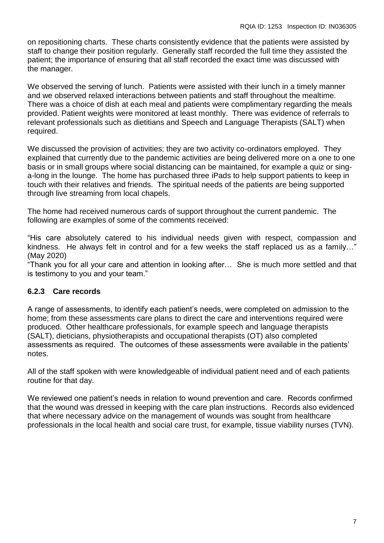on repositioning charts. These charts consistently evidence that the patients were assisted by staff to change their position regularly. Generally staff recorded the full time they assisted the patient; the importance of ensuring that all staff recorded the exact time was discussed with the manager.

We observed the serving of lunch. Patients were assisted with their lunch in a timely manner and we observed relaxed interactions between patients and staff throughout the mealtime. There was a choice of dish at each meal and patients were complimentary regarding the meals provided. Patient weights were monitored at least monthly. There was evidence of referrals to relevant professionals such as dietitians and Speech and Language Therapists (SALT) when required.

We discussed the provision of activities; they are two activity co-ordinators employed. They explained that currently due to the pandemic activities are being delivered more on a one to one basis or in small groups where social distancing can be maintained, for example a quiz or singa-long in the lounge. The home has purchased three iPads to help support patients to keep in touch with their relatives and friends. The spiritual needs of the patients are being supported through live streaming from local chapels.

The home had received numerous cards of support throughout the current pandemic. The following are examples of some of the comments received:

"His care absolutely catered to his individual needs given with respect, compassion and kindness. He always felt in control and for a few weeks the staff replaced us as a family…" (May 2020)

"Thank you for all your care and attention in looking after… She is much more settled and that is testimony to you and your team."

### **6.2.3 Care records**

A range of assessments, to identify each patient's needs, were completed on admission to the home; from these assessments care plans to direct the care and interventions required were produced. Other healthcare professionals, for example speech and language therapists (SALT), dieticians, physiotherapists and occupational therapists (OT) also completed assessments as required. The outcomes of these assessments were available in the patients' notes.

All of the staff spoken with were knowledgeable of individual patient need and of each patients routine for that day.

We reviewed one patient's needs in relation to wound prevention and care. Records confirmed that the wound was dressed in keeping with the care plan instructions. Records also evidenced that where necessary advice on the management of wounds was sought from healthcare professionals in the local health and social care trust, for example, tissue viability nurses (TVN).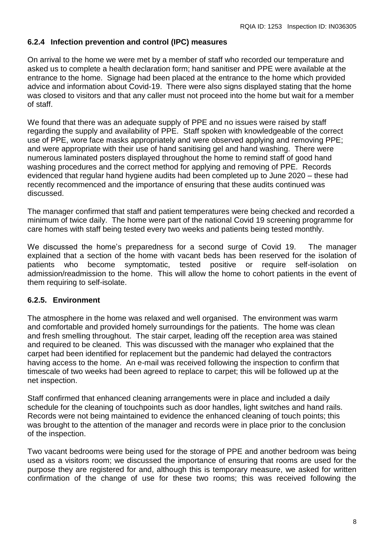#### **6.2.4 Infection prevention and control (IPC) measures**

On arrival to the home we were met by a member of staff who recorded our temperature and asked us to complete a health declaration form; hand sanitiser and PPE were available at the entrance to the home. Signage had been placed at the entrance to the home which provided advice and information about Covid-19. There were also signs displayed stating that the home was closed to visitors and that any caller must not proceed into the home but wait for a member of staff.

We found that there was an adequate supply of PPE and no issues were raised by staff regarding the supply and availability of PPE. Staff spoken with knowledgeable of the correct use of PPE, wore face masks appropriately and were observed applying and removing PPE; and were appropriate with their use of hand sanitising gel and hand washing. There were numerous laminated posters displayed throughout the home to remind staff of good hand washing procedures and the correct method for applying and removing of PPE. Records evidenced that regular hand hygiene audits had been completed up to June 2020 – these had recently recommenced and the importance of ensuring that these audits continued was discussed.

The manager confirmed that staff and patient temperatures were being checked and recorded a minimum of twice daily. The home were part of the national Covid 19 screening programme for care homes with staff being tested every two weeks and patients being tested monthly.

We discussed the home's preparedness for a second surge of Covid 19. The manager explained that a section of the home with vacant beds has been reserved for the isolation of patients who become symptomatic, tested positive or require self-isolation on admission/readmission to the home. This will allow the home to cohort patients in the event of them requiring to self-isolate.

#### **6.2.5. Environment**

The atmosphere in the home was relaxed and well organised. The environment was warm and comfortable and provided homely surroundings for the patients. The home was clean and fresh smelling throughout. The stair carpet, leading off the reception area was stained and required to be cleaned. This was discussed with the manager who explained that the carpet had been identified for replacement but the pandemic had delayed the contractors having access to the home. An e-mail was received following the inspection to confirm that timescale of two weeks had been agreed to replace to carpet; this will be followed up at the net inspection.

Staff confirmed that enhanced cleaning arrangements were in place and included a daily schedule for the cleaning of touchpoints such as door handles, light switches and hand rails. Records were not being maintained to evidence the enhanced cleaning of touch points; this was brought to the attention of the manager and records were in place prior to the conclusion of the inspection.

Two vacant bedrooms were being used for the storage of PPE and another bedroom was being used as a visitors room; we discussed the importance of ensuring that rooms are used for the purpose they are registered for and, although this is temporary measure, we asked for written confirmation of the change of use for these two rooms; this was received following the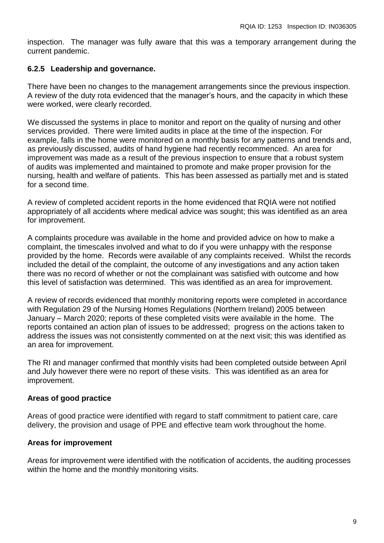inspection. The manager was fully aware that this was a temporary arrangement during the current pandemic.

#### **6.2.5 Leadership and governance.**

There have been no changes to the management arrangements since the previous inspection. A review of the duty rota evidenced that the manager's hours, and the capacity in which these were worked, were clearly recorded.

We discussed the systems in place to monitor and report on the quality of nursing and other services provided. There were limited audits in place at the time of the inspection. For example, falls in the home were monitored on a monthly basis for any patterns and trends and, as previously discussed, audits of hand hygiene had recently recommenced. An area for improvement was made as a result of the previous inspection to ensure that a robust system of audits was implemented and maintained to promote and make proper provision for the nursing, health and welfare of patients. This has been assessed as partially met and is stated for a second time.

A review of completed accident reports in the home evidenced that RQIA were not notified appropriately of all accidents where medical advice was sought; this was identified as an area for improvement.

A complaints procedure was available in the home and provided advice on how to make a complaint, the timescales involved and what to do if you were unhappy with the response provided by the home. Records were available of any complaints received. Whilst the records included the detail of the complaint, the outcome of any investigations and any action taken there was no record of whether or not the complainant was satisfied with outcome and how this level of satisfaction was determined. This was identified as an area for improvement.

A review of records evidenced that monthly monitoring reports were completed in accordance with Regulation 29 of the Nursing Homes Regulations (Northern Ireland) 2005 between January – March 2020; reports of these completed visits were available in the home. The reports contained an action plan of issues to be addressed; progress on the actions taken to address the issues was not consistently commented on at the next visit; this was identified as an area for improvement.

The RI and manager confirmed that monthly visits had been completed outside between April and July however there were no report of these visits. This was identified as an area for improvement.

#### **Areas of good practice**

Areas of good practice were identified with regard to staff commitment to patient care, care delivery, the provision and usage of PPE and effective team work throughout the home.

#### **Areas for improvement**

Areas for improvement were identified with the notification of accidents, the auditing processes within the home and the monthly monitoring visits.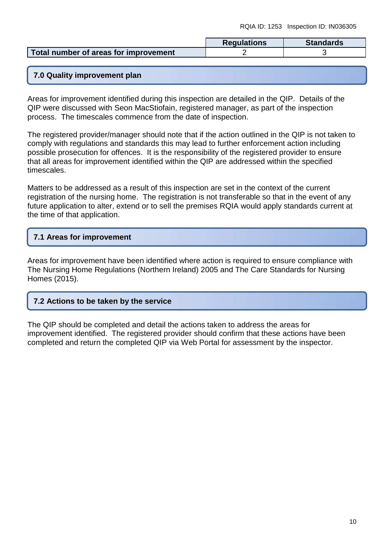|                                       | <b>Regulations</b> | <b>Standards</b> |
|---------------------------------------|--------------------|------------------|
| Total number of areas for improvement |                    |                  |

# **7.0 Quality improvement plan**

Areas for improvement identified during this inspection are detailed in the QIP. Details of the QIP were discussed with Seon MacStiofain, registered manager, as part of the inspection process. The timescales commence from the date of inspection.

The registered provider/manager should note that if the action outlined in the QIP is not taken to comply with regulations and standards this may lead to further enforcement action including possible prosecution for offences. It is the responsibility of the registered provider to ensure that all areas for improvement identified within the QIP are addressed within the specified timescales.

Matters to be addressed as a result of this inspection are set in the context of the current registration of the nursing home. The registration is not transferable so that in the event of any future application to alter, extend or to sell the premises RQIA would apply standards current at the time of that application.

# **7.1 Areas for improvement**

Areas for improvement have been identified where action is required to ensure compliance with The Nursing Home Regulations (Northern Ireland) 2005 and The Care Standards for Nursing Homes (2015).

### **7.2 Actions to be taken by the service**

The QIP should be completed and detail the actions taken to address the areas for improvement identified. The registered provider should confirm that these actions have been completed and return the completed QIP via Web Portal for assessment by the inspector.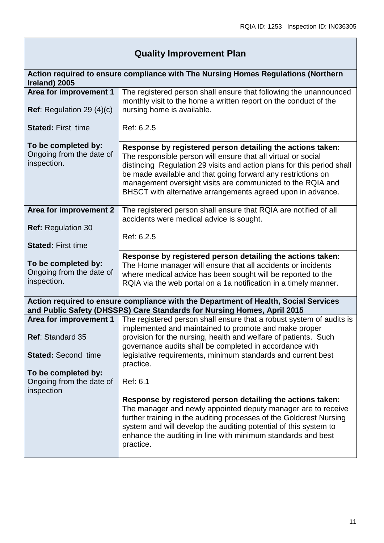# **Quality Improvement Plan**

| Action required to ensure compliance with The Nursing Homes Regulations (Northern<br>Ireland) 2005 |                                                                                                                                                                                                                                                                                                                                                                                                     |  |
|----------------------------------------------------------------------------------------------------|-----------------------------------------------------------------------------------------------------------------------------------------------------------------------------------------------------------------------------------------------------------------------------------------------------------------------------------------------------------------------------------------------------|--|
| Area for improvement 1                                                                             | The registered person shall ensure that following the unannounced<br>monthly visit to the home a written report on the conduct of the                                                                                                                                                                                                                                                               |  |
| <b>Ref:</b> Regulation 29 $(4)(c)$                                                                 | nursing home is available.                                                                                                                                                                                                                                                                                                                                                                          |  |
| <b>Stated: First time</b>                                                                          | Ref: 6.2.5                                                                                                                                                                                                                                                                                                                                                                                          |  |
| To be completed by:<br>Ongoing from the date of<br>inspection.                                     | Response by registered person detailing the actions taken:<br>The responsible person will ensure that all virtual or social<br>distincing Regulation 29 visits and action plans for this period shall<br>be made available and that going forward any restrictions on<br>management oversight visits are communicted to the RQIA and<br>BHSCT with alternative arrangements agreed upon in advance. |  |
| Area for improvement 2                                                                             | The registered person shall ensure that RQIA are notified of all<br>accidents were medical advice is sought.                                                                                                                                                                                                                                                                                        |  |
| <b>Ref: Regulation 30</b>                                                                          | Ref: 6.2.5                                                                                                                                                                                                                                                                                                                                                                                          |  |
| <b>Stated: First time</b>                                                                          |                                                                                                                                                                                                                                                                                                                                                                                                     |  |
| To be completed by:                                                                                | Response by registered person detailing the actions taken:<br>The Home manager will ensure that all accidents or incidents                                                                                                                                                                                                                                                                          |  |
| Ongoing from the date of<br>inspection.                                                            | where medical advice has been sought will be reported to the<br>RQIA via the web portal on a 1a notification in a timely manner.                                                                                                                                                                                                                                                                    |  |
|                                                                                                    | Action required to ensure compliance with the Department of Health, Social Services<br>and Public Safety (DHSSPS) Care Standards for Nursing Homes, April 2015                                                                                                                                                                                                                                      |  |
| Area for improvement 1                                                                             | The registered person shall ensure that a robust system of audits is<br>implemented and maintained to promote and make proper                                                                                                                                                                                                                                                                       |  |
| Ref: Standard 35                                                                                   | provision for the nursing, health and welfare of patients. Such<br>governance audits shall be completed in accordance with                                                                                                                                                                                                                                                                          |  |
| <b>Stated: Second time</b>                                                                         | legislative requirements, minimum standards and current best<br>practice.                                                                                                                                                                                                                                                                                                                           |  |
| To be completed by:<br>Ongoing from the date of<br>inspection                                      | Ref: 6.1                                                                                                                                                                                                                                                                                                                                                                                            |  |
|                                                                                                    | Response by registered person detailing the actions taken:<br>The manager and newly appointed deputy manager are to receive<br>further training in the auditing processes of the Goldcrest Nursing<br>system and will develop the auditing potential of this system to<br>enhance the auditing in line with minimum standards and best<br>practice.                                                 |  |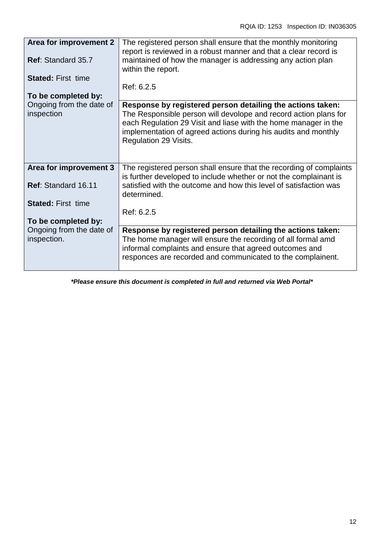| Area for improvement 2                 | The registered person shall ensure that the monthly monitoring<br>report is reviewed in a robust manner and that a clear record is       |
|----------------------------------------|------------------------------------------------------------------------------------------------------------------------------------------|
| <b>Ref: Standard 35.7</b>              | maintained of how the manager is addressing any action plan<br>within the report.                                                        |
| <b>Stated: First time</b>              |                                                                                                                                          |
|                                        | Ref: 6.2.5                                                                                                                               |
| To be completed by:                    |                                                                                                                                          |
| Ongoing from the date of<br>inspection | Response by registered person detailing the actions taken:<br>The Responsible person will devolope and record action plans for           |
|                                        | each Regulation 29 Visit and liase with the home manager in the                                                                          |
|                                        | implementation of agreed actions during his audits and monthly<br>Regulation 29 Visits.                                                  |
|                                        |                                                                                                                                          |
|                                        |                                                                                                                                          |
| Area for improvement 3                 | The registered person shall ensure that the recording of complaints<br>is further developed to include whether or not the complainant is |
| Ref: Standard 16.11                    | satisfied with the outcome and how this level of satisfaction was                                                                        |
|                                        | determined.                                                                                                                              |
| <b>Stated: First time</b>              |                                                                                                                                          |
|                                        | Ref: 6.2.5                                                                                                                               |
| To be completed by:                    |                                                                                                                                          |
| Ongoing from the date of               | Response by registered person detailing the actions taken:                                                                               |
| inspection.                            | The home manager will ensure the recording of all formal amd                                                                             |
|                                        | informal complaints and ensure that agreed outcomes and                                                                                  |
|                                        | responces are recorded and communicated to the complainent.                                                                              |
|                                        |                                                                                                                                          |

*\*Please ensure this document is completed in full and returned via Web Portal\**